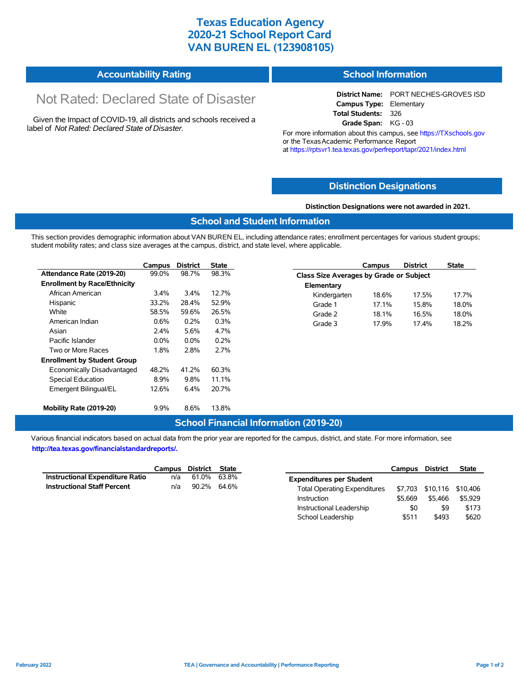### **Texas Education Agency 2020-21 School Report Card VAN BUREN EL (123908105)**

| <b>Accountability Rating</b> | <b>School Information</b> |
|------------------------------|---------------------------|
|------------------------------|---------------------------|

# Not Rated: Declared State of Disaster

Given the Impact of COVID-19, all districts and schools received a label of *Not Rated: Declared State of Disaster.*

**District Name:** PORT NECHES-GROVES ISD **Campus Type:** Elementary **Total Students:** 326 **Grade Span:** KG - 03

> 18.6% 17.5% 17.7% 17.1% 15.8% 18.0% Grade 2 18.1% 16.5% 18.0% Grade 3 17.9% 17.4% 18.2%

For more information about this campus, see https://TXschools.gov or the TexasAcademic Performance Report at https://rptsvr1.tea.texas.gov/perfreport/tapr/2021/index.html

#### **Distinction Designations**

**Distinction Designations were not awarded in 2021.**

#### **School and Student Information**

This section provides demographic information about VAN BUREN EL, including attendance rates; enrollment percentages for various student groups; student mobility rates; and class size averages at the campus, district, and state level, where applicable.

|                                     | Campus  | <b>District</b> | <b>State</b> | <b>District</b><br>Campus               | <b>State</b> |  |  |
|-------------------------------------|---------|-----------------|--------------|-----------------------------------------|--------------|--|--|
| Attendance Rate (2019-20)           | 99.0%   | 98.7%           | 98.3%        | Class Size Averages by Grade or Subject |              |  |  |
| <b>Enrollment by Race/Ethnicity</b> |         |                 |              | Elementary                              |              |  |  |
| African American                    | 3.4%    | 3.4%            | 12.7%        | Kindergarten<br>17.5%<br>18.6%          | 17.7         |  |  |
| Hispanic                            | 33.2%   | 28.4%           | 52.9%        | 15.8%<br>Grade 1<br>17.1%               | 18.0         |  |  |
| White                               | 58.5%   | 59.6%           | 26.5%        | Grade 2<br>16.5%<br>18.1%               | 18.0         |  |  |
| American Indian                     | 0.6%    | 0.2%            | 0.3%         | Grade 3<br>17.9%<br>17.4%               | 18.2         |  |  |
| Asian                               | 2.4%    | 5.6%            | 4.7%         |                                         |              |  |  |
| Pacific Islander                    | $0.0\%$ | $0.0\%$         | 0.2%         |                                         |              |  |  |
| Two or More Races                   | 1.8%    | 2.8%            | 2.7%         |                                         |              |  |  |
| <b>Enrollment by Student Group</b>  |         |                 |              |                                         |              |  |  |
| Economically Disadvantaged          | 48.2%   | 41.2%           | 60.3%        |                                         |              |  |  |
| Special Education                   | 8.9%    | 9.8%            | 11.1%        |                                         |              |  |  |
| Emergent Bilingual/EL               | 12.6%   | 6.4%            | 20.7%        |                                         |              |  |  |
| Mobility Rate (2019-20)             | 9.9%    | 8.6%            | 13.8%        |                                         |              |  |  |

#### **School Financial Information (2019-20)**

Various financial indicators based on actual data from the prior year are reported for the campus, district, and state. For more information, see **http://tea.texas.gov/financialstandardreports/.**

|                                        | Campus District State |             |  |
|----------------------------------------|-----------------------|-------------|--|
| <b>Instructional Expenditure Ratio</b> | n/a                   | 61.0% 63.8% |  |
| <b>Instructional Staff Percent</b>     | n/a                   | 90.2% 64.6% |  |

|                                     | <b>Campus</b> | District | <b>State</b> |
|-------------------------------------|---------------|----------|--------------|
| <b>Expenditures per Student</b>     |               |          |              |
| <b>Total Operating Expenditures</b> | \$7.703       | \$10,116 | \$10,406     |
| Instruction                         | \$5.669       | \$5.466  | \$5.929      |
| Instructional Leadership            | \$0           | \$9      | \$173        |
| School Leadership                   | \$511         | \$493    | \$620        |